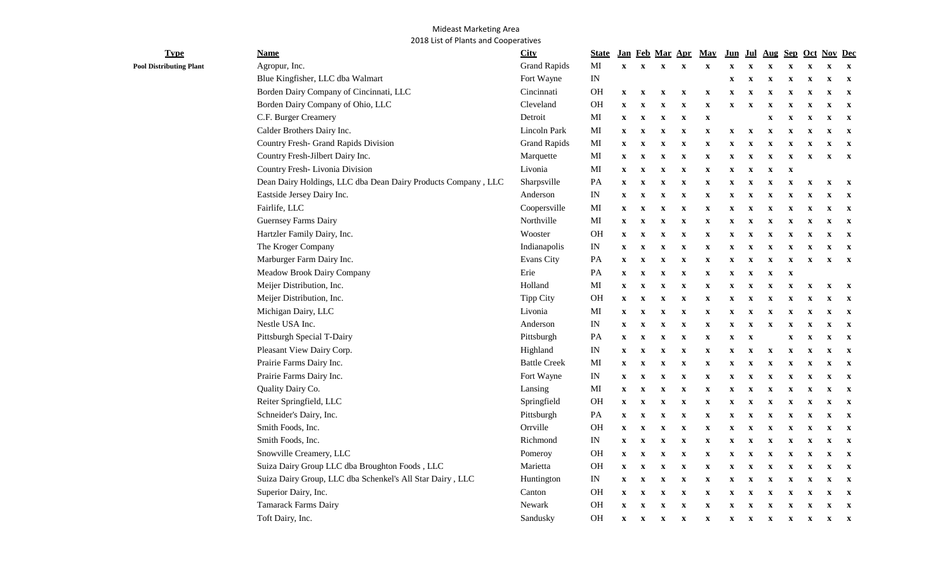## Mideast Marketing Area 2018 List of Plants and Cooperatives

| <b>Type</b>                    | Name                                                          | <b>City</b>         | <u>State</u>                    | Jan                       |                           | Feb Mar Apr               |                           | <b>May</b>                | Jun          | Jul                       |             |                           |                           | Aug Sep Oct Nov Dec       |                           |
|--------------------------------|---------------------------------------------------------------|---------------------|---------------------------------|---------------------------|---------------------------|---------------------------|---------------------------|---------------------------|--------------|---------------------------|-------------|---------------------------|---------------------------|---------------------------|---------------------------|
| <b>Pool Distributing Plant</b> | Agropur, Inc.                                                 | <b>Grand Rapids</b> | MI                              | $\mathbf{x}$              | $\boldsymbol{\mathrm{X}}$ | $\mathbf X$               | $\mathbf X$               | $\mathbf X$               | $\mathbf X$  | $\mathbf{x}$              | $\mathbf x$ | $\boldsymbol{\mathrm{X}}$ | $\mathbf x$               | x                         | $\mathbf X$               |
|                                | Blue Kingfisher, LLC dba Walmart                              | Fort Wayne          | $\rm{IN}$                       |                           |                           |                           |                           |                           | $\mathbf X$  | X                         | X           | x                         | X                         | X                         | X                         |
|                                | Borden Dairy Company of Cincinnati, LLC                       | Cincinnati          | <b>OH</b>                       | $\mathbf{x}$              | $\boldsymbol{\mathrm{X}}$ | $\mathbf X$               | $\boldsymbol{\mathrm{X}}$ | $\mathbf X$               | $\mathbf X$  | X                         | X           | $\mathbf x$               | $\mathbf x$               | X                         | $\mathbf x$               |
|                                | Borden Dairy Company of Ohio, LLC                             | Cleveland           | OН                              | $\mathbf{x}$              | X                         | $\mathbf X$               | $\boldsymbol{\mathrm{X}}$ | $\mathbf X$               | $\mathbf X$  | x                         | X           | X                         | X                         | X                         | X                         |
|                                | C.F. Burger Creamery                                          | Detroit             | MI                              | $\mathbf X$               | $\mathbf X$               | $\mathbf X$               | $\mathbf x$               | $\mathbf X$               |              |                           | X           | X                         | $\mathbf X$               | X                         | $\mathbf X$               |
|                                | Calder Brothers Dairy Inc.                                    | Lincoln Park        | MI                              | $\mathbf{x}$              | X                         | $\mathbf X$               | $\mathbf X$               | $\mathbf X$               | $\mathbf X$  | $\mathbf X$               | X           | X                         | X                         | X                         | X                         |
|                                | Country Fresh- Grand Rapids Division                          | <b>Grand Rapids</b> | MI                              | $\mathbf{x}$              | X                         | $\mathbf X$               | $\mathbf x$               | $\mathbf x$               | $\mathbf X$  | X                         | X           | X                         | X                         | X                         | X                         |
|                                | Country Fresh-Jilbert Dairy Inc.                              | Marquette           | MI                              | $\mathbf{x}$              | $\boldsymbol{\mathrm{X}}$ | $\mathbf X$               | $\mathbf X$               | $\mathbf X$               | $\mathbf X$  | $\boldsymbol{\mathrm{X}}$ | $\mathbf X$ | $\boldsymbol{\mathrm{X}}$ | $\mathbf X$               | $\boldsymbol{\mathrm{X}}$ | $\mathbf X$               |
|                                | Country Fresh-Livonia Division                                | Livonia             | MI                              | $\mathbf{x}$              | $\mathbf x$               | $\mathbf X$               | $\mathbf X$               | $\mathbf X$               | $\mathbf X$  | $\boldsymbol{\mathrm{X}}$ | $\mathbf X$ | $\mathbf X$               |                           |                           |                           |
|                                | Dean Dairy Holdings, LLC dba Dean Dairy Products Company, LLC | Sharpsville         | PA                              | $\mathbf X$               | $\mathbf X$               | $\mathbf X$               | $\mathbf X$               | $\mathbf X$               | $\mathbf X$  | $\boldsymbol{\mathrm{X}}$ | $\mathbf X$ | $\boldsymbol{\mathrm{X}}$ | $\mathbf X$               | $\mathbf X$               | $\mathbf X$               |
|                                | Eastside Jersey Dairy Inc.                                    | Anderson            | $\ensuremath{\text{IN}}\xspace$ | $\mathbf X$               | X                         | $\mathbf X$               | $\mathbf x$               | $\mathbf x$               | $\mathbf X$  | X                         | X           | $\mathbf X$               | X                         | X                         | X                         |
|                                | Fairlife, LLC                                                 | Coopersville        | MI                              | $\mathbf X$               | x                         | $\mathbf X$               | $\boldsymbol{\mathrm{X}}$ | $\boldsymbol{\mathrm{X}}$ | $\mathbf X$  | x                         | X           | X                         | x                         | X                         | X                         |
|                                | <b>Guernsey Farms Dairy</b>                                   | Northville          | MI                              | $\mathbf X$               | X                         | $\mathbf X$               | $\mathbf X$               | $\boldsymbol{\mathrm{X}}$ | $\mathbf X$  | x                         | X           | $\mathbf X$               | X                         | X                         | X                         |
|                                | Hartzler Family Dairy, Inc.                                   | Wooster             | <b>OH</b>                       | $\mathbf X$               | $\mathbf x$               | $\mathbf X$               | $\mathbf X$               | $\mathbf X$               | $\mathbf X$  | $\mathbf X$               | X           | $\boldsymbol{\mathrm{X}}$ | x                         | x                         | X                         |
|                                | The Kroger Company                                            | Indianapolis        | $\ensuremath{\text{IN}}\xspace$ | X                         | x                         | X                         | $\mathbf X$               | $\boldsymbol{\mathrm{X}}$ | X            | X                         | X           | X                         | X                         | x                         | X                         |
|                                | Marburger Farm Dairy Inc.                                     | <b>Evans City</b>   | PA                              | $\boldsymbol{\mathrm{X}}$ | x                         | $\mathbf X$               | $\boldsymbol{\mathrm{X}}$ | $\boldsymbol{\mathrm{X}}$ | $\mathbf X$  | x                         | X           | X                         | x                         | x                         | $\mathbf x$               |
|                                | Meadow Brook Dairy Company                                    | Erie                | PA                              | $\boldsymbol{\mathrm{X}}$ | x                         | $\mathbf X$               | $\boldsymbol{\mathrm{X}}$ | $\boldsymbol{\mathrm{X}}$ | $\mathbf X$  | $\boldsymbol{\mathrm{X}}$ | $\mathbf X$ | $\boldsymbol{\mathrm{X}}$ |                           |                           |                           |
|                                | Meijer Distribution, Inc.                                     | Holland             | MI                              | $\boldsymbol{\mathrm{X}}$ | $\boldsymbol{\mathrm{X}}$ | $\mathbf X$               | $\boldsymbol{\mathrm{X}}$ | $\boldsymbol{\mathrm{X}}$ | $\mathbf X$  | $\boldsymbol{\mathrm{X}}$ | $\mathbf X$ | $\boldsymbol{\mathrm{X}}$ | $\boldsymbol{\mathrm{X}}$ | $\mathbf X$               | $\boldsymbol{\mathrm{X}}$ |
|                                | Meijer Distribution, Inc.                                     | Tipp City           | <b>OH</b>                       | $\mathbf{x}$              | $\boldsymbol{\mathrm{X}}$ | $\boldsymbol{\mathrm{X}}$ | $\mathbf X$               | $\boldsymbol{\mathrm{X}}$ | $\mathbf X$  | $\mathbf x$               | $\mathbf X$ | $\mathbf X$               | $\mathbf X$               | $\mathbf X$               | $\mathbf X$               |
|                                | Michigan Dairy, LLC                                           | Livonia             | MI                              | $\mathbf X$               | X                         | X                         | X                         | $\mathbf X$               | $\mathbf X$  | x                         | X           | X                         | X                         | X                         | $\mathbf x$               |
|                                | Nestle USA Inc.                                               | Anderson            | IN                              | $\mathbf{x}$              | $\boldsymbol{\mathrm{X}}$ | $\boldsymbol{\mathrm{X}}$ | $\boldsymbol{\mathrm{X}}$ | $\boldsymbol{\mathrm{X}}$ | $\mathbf X$  | $\boldsymbol{\mathrm{X}}$ | X           | X                         | X                         | X                         | X                         |
|                                | Pittsburgh Special T-Dairy                                    | Pittsburgh          | PA                              | $\mathbf{x}$              | $\boldsymbol{\mathrm{X}}$ | $\boldsymbol{\mathrm{X}}$ | $\boldsymbol{\mathrm{X}}$ | $\mathbf X$               | $\mathbf X$  | $\mathbf X$               |             | $\boldsymbol{\mathrm{X}}$ | $\mathbf X$               | $\mathbf X$               | $\mathbf x$               |
|                                | Pleasant View Dairy Corp.                                     | Highland            | $\ensuremath{\text{IN}}\xspace$ | $\mathbf{x}$              | $\boldsymbol{\mathrm{X}}$ | $\boldsymbol{\mathrm{X}}$ | $\boldsymbol{\mathrm{X}}$ | $\mathbf X$               | $\mathbf X$  | $\boldsymbol{\mathrm{X}}$ | $\mathbf X$ | $\boldsymbol{\mathrm{X}}$ | $\mathbf X$               | $\mathbf X$               | $\boldsymbol{\mathrm{X}}$ |
|                                | Prairie Farms Dairy Inc.                                      | <b>Battle Creek</b> | MI                              | $\mathbf X$               | $\boldsymbol{\mathrm{X}}$ | $\boldsymbol{\mathrm{X}}$ | $\boldsymbol{\mathrm{X}}$ | $\mathbf X$               | $\mathbf X$  | $\boldsymbol{\mathrm{X}}$ | $\mathbf X$ | $\boldsymbol{\mathrm{X}}$ | $\mathbf X$               | $\mathbf X$               | $\boldsymbol{\mathrm{X}}$ |
|                                | Prairie Farms Dairy Inc.                                      | Fort Wayne          | IN                              | $\mathbf{x}$              | X                         | $\mathbf X$               | $\mathbf x$               | $\mathbf x$               | $\mathbf X$  | X                         | X           | $\mathbf X$               | X                         | X                         | X                         |
|                                | Quality Dairy Co.                                             | Lansing             | MI                              | $\mathbf{x}$              | $\mathbf x$               | $\boldsymbol{\mathrm{X}}$ | $\boldsymbol{\mathrm{X}}$ | $\mathbf X$               | $\mathbf X$  | $\boldsymbol{\mathrm{X}}$ | $\mathbf X$ | $\mathbf X$               | $\mathbf X$               | $\mathbf X$               | $\mathbf x$               |
|                                | Reiter Springfield, LLC                                       | Springfield         | <b>OH</b>                       | $\mathbf{x}$              | $\mathbf X$               | $\mathbf X$               | $\mathbf X$               | $\mathbf X$               | $\mathbf X$  | $\boldsymbol{\mathrm{X}}$ | $\mathbf X$ | $\mathbf X$               | $\mathbf X$               | $\mathbf X$               | $\mathbf X$               |
|                                | Schneider's Dairy, Inc.                                       | Pittsburgh          | PA                              | $\mathbf{x}$              | $\mathbf X$               | $\mathbf X$               | $\mathbf X$               | $\mathbf X$               | $\mathbf X$  | $\mathbf X$               | $\mathbf X$ | $\mathbf X$               | $\mathbf X$               | $\mathbf X$               | $\boldsymbol{\mathrm{X}}$ |
|                                | Smith Foods, Inc.                                             | Orrville            | OH                              | $\mathbf{x}$              | $\mathbf X$               | $\mathbf{x}$              | $\mathbf X$               | $\mathbf x$               | $\mathbf X$  | $\boldsymbol{\mathrm{X}}$ | X           | $\mathbf X$               | $\mathbf{x}$              | X                         | X                         |
|                                | Smith Foods, Inc.                                             | Richmond            | $\mathbbm{I}\mathbb{N}$         | $\mathbf{x}$              | $\boldsymbol{\mathrm{X}}$ | $\mathbf X$               | $\boldsymbol{\mathrm{X}}$ | $\mathbf X$               | $\mathbf X$  | $\mathbf X$               | $\mathbf X$ | $\mathbf X$               | $\mathbf X$               | x                         | X                         |
|                                | Snowville Creamery, LLC                                       | Pomeroy             | OН                              | $\mathbf X$               | $\boldsymbol{\mathrm{X}}$ | $\mathbf{x}$              | $\mathbf X$               | $\mathbf X$               | $\mathbf X$  | $\boldsymbol{\mathrm{X}}$ | $\mathbf X$ | $\boldsymbol{\mathrm{X}}$ | X                         | x                         | X                         |
|                                | Suiza Dairy Group LLC dba Broughton Foods, LLC                | Marietta            | <b>OH</b>                       | $\mathbf{x}$              | $\mathbf X$               | $\mathbf X$               | $\mathbf X$               | $\mathbf X$               | $\mathbf X$  | $\boldsymbol{\mathrm{X}}$ | $\mathbf X$ | $\boldsymbol{\mathrm{X}}$ | $\mathbf X$               | $\mathbf X$               | $\mathbf X$               |
|                                | Suiza Dairy Group, LLC dba Schenkel's All Star Dairy, LLC     | Huntington          | $\ensuremath{\text{IN}}\xspace$ | $\mathbf{x}$              | $\mathbf{x}$              | $\mathbf{x}$              | X                         | $\mathbf X$               | $\mathbf{x}$ | $\mathbf{x}$              | x           | $\mathbf{x}$              | $\mathbf{x}$              | x                         | X                         |
|                                | Superior Dairy, Inc.                                          | Canton              | <b>OH</b>                       | $\mathbf x$               | X                         | $\mathbf x$               | X                         | $\mathbf X$               | $\mathbf x$  | X                         | X           | X                         | X                         | X                         | X                         |
|                                | Tamarack Farms Dairy                                          | Newark              | OН                              | $\mathbf{x}$              | $\mathbf{x}$              | $\mathbf X$               | $\mathbf X$               | $\mathbf{x}$              | $\mathbf X$  | $\mathbf{x}$              | x           | $\boldsymbol{\mathrm{X}}$ | $\mathbf X$               | $\mathbf{x}$              | $\mathbf{x}$              |
|                                | Toft Dairy, Inc.                                              | Sandusky            | OH                              | $\mathbf{x}$              | $\mathbf{x}$              | $\mathbf X$               | $\mathbf X$               | $\mathbf X$               | $\mathbf{x}$ | $\mathbf{x}$              | $\mathbf X$ | $\mathbf{x}$              | $\mathbf X$               | $\mathbf X$               | $\boldsymbol{\mathrm{X}}$ |
|                                |                                                               |                     |                                 |                           |                           |                           |                           |                           |              |                           |             |                           |                           |                           |                           |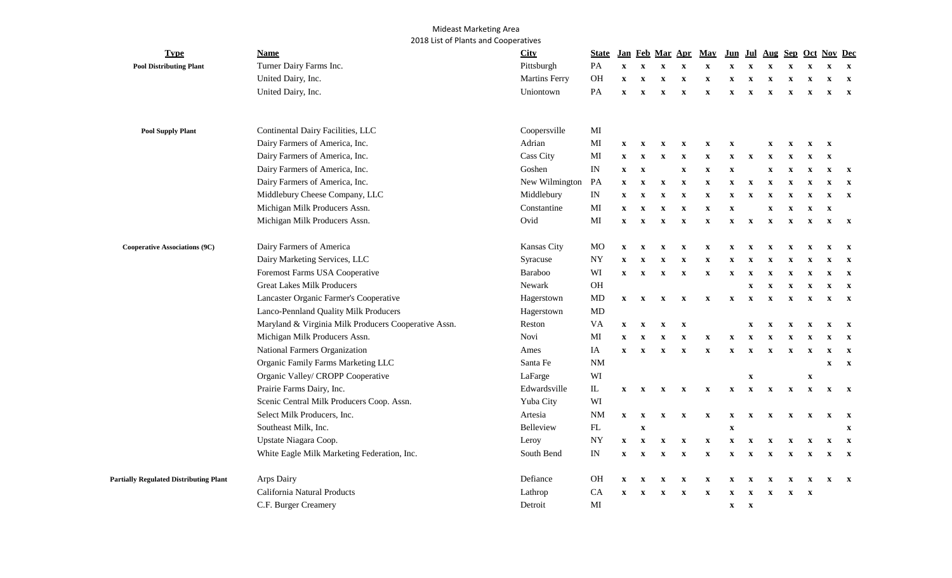## Mideast Marketing Area 2018 List of Plants and Cooperatives

| <b>Type</b>                                   | Name                                                 | <b>City</b>          | <b>State</b>           | <u>Jan</u>   |                           | Feb Mar                   | Apr                       | <b>May</b>                | Jun                       | Jul                       | <b>Aug</b>   |                           |                           | Sep Oct Nov Dec           |              |
|-----------------------------------------------|------------------------------------------------------|----------------------|------------------------|--------------|---------------------------|---------------------------|---------------------------|---------------------------|---------------------------|---------------------------|--------------|---------------------------|---------------------------|---------------------------|--------------|
| <b>Pool Distributing Plant</b>                | Turner Dairy Farms Inc.                              | Pittsburgh           | PA                     | $\mathbf x$  | $\mathbf X$               | $\mathbf X$               | $\mathbf X$               | $\mathbf X$               | $\mathbf X$               | $\mathbf{x}$              | $\mathbf x$  | $\mathbf{x}$              | $\mathbf{x}$              | $\mathbf X$               | $\mathbf{x}$ |
|                                               | United Dairy, Inc.                                   | <b>Martins Ferry</b> | <b>OH</b>              | $\mathbf X$  | $\boldsymbol{\mathrm{X}}$ | $\mathbf{x}$              | $\mathbf X$               | $\mathbf X$               | $\boldsymbol{\mathrm{X}}$ | $\mathbf{x}$              | $\mathbf x$  | $\mathbf{x}$              | $\mathbf{x}$              | $\mathbf X$               | $\mathbf{x}$ |
|                                               | United Dairy, Inc.                                   | Uniontown            | PA                     | $\mathbf{x}$ | $\mathbf X$               | $\mathbf X$               | $\mathbf X$               | $\mathbf X$               | $\mathbf{x}$              | $\mathbf{x}$              | $\mathbf X$  | $\mathbf{x}$              | $\mathbf{x}$              | $\mathbf{x}$              | $\mathbf{x}$ |
| <b>Pool Supply Plant</b>                      | Continental Dairy Facilities, LLC                    | Coopersville         | MI                     |              |                           |                           |                           |                           |                           |                           |              |                           |                           |                           |              |
|                                               | Dairy Farmers of America, Inc.                       | Adrian               | MI                     | $\mathbf{x}$ | $\mathbf X$               | $\mathbf X$               | $\mathbf X$               | $\mathbf X$               | $\mathbf X$               |                           | $\mathbf x$  | $\mathbf{x}$              | $\mathbf{x}$              | $\mathbf{x}$              |              |
|                                               | Dairy Farmers of America, Inc.                       | <b>Cass City</b>     | MI                     | $\mathbf x$  | $\mathbf X$               | $\mathbf X$               | $\mathbf X$               | $\mathbf X$               | $\mathbf X$               | $\mathbf X$               | $\mathbf X$  | $\mathbf{x}$              | $\boldsymbol{\mathrm{X}}$ | $\boldsymbol{\mathrm{X}}$ |              |
|                                               | Dairy Farmers of America, Inc.                       | Goshen               | $\mathbb{I}\mathbb{N}$ | $\mathbf X$  | $\mathbf X$               |                           | $\boldsymbol{\mathrm{X}}$ | $\mathbf X$               | $\mathbf X$               |                           | $\mathbf X$  | $\mathbf{x}$              | $\boldsymbol{\mathrm{X}}$ | $\boldsymbol{\mathrm{X}}$ | $\mathbf{x}$ |
|                                               | Dairy Farmers of America, Inc.                       | New Wilmington       | PA                     | $\mathbf{x}$ | $\mathbf X$               | $\mathbf X$               | $\mathbf X$               | $\mathbf X$               | $\mathbf X$               | $\boldsymbol{\mathrm{X}}$ | $\mathbf X$  | $\mathbf X$               | $\mathbf x$               | $\mathbf x$               | $\mathbf{x}$ |
|                                               | Middlebury Cheese Company, LLC                       | Middlebury           | $\mathbb{I}\mathbb{N}$ | $\mathbf{x}$ | $\mathbf X$               | $\mathbf X$               | $\mathbf X$               | $\mathbf X$               | $\boldsymbol{\mathrm{X}}$ | $\boldsymbol{\mathrm{X}}$ | $\mathbf X$  | $\boldsymbol{\mathrm{X}}$ | $\mathbf X$               | $\mathbf X$               | $\mathbf{x}$ |
|                                               | Michigan Milk Producers Assn.                        | Constantine          | MI                     | $\mathbf{x}$ | $\boldsymbol{\mathrm{X}}$ | $\boldsymbol{\mathrm{X}}$ | $\mathbf X$               | $\mathbf X$               | $\mathbf X$               |                           | $\mathbf X$  | X                         | $\mathbf X$               | $\mathbf{x}$              |              |
|                                               | Michigan Milk Producers Assn.                        | Ovid                 | MI                     | $\mathbf{x}$ | $\mathbf X$               | $\mathbf X$               | $\mathbf X$               | $\mathbf X$               | $\mathbf X$               | $\mathbf{x}$              | $\mathbf X$  | $\mathbf{x}$              | $\mathbf{x}$              | $\mathbf x$               | $\mathbf{x}$ |
| <b>Cooperative Associations (9C)</b>          | Dairy Farmers of America                             | Kansas City          | <b>MO</b>              | $\mathbf{x}$ | $\mathbf X$               | $\mathbf X$               | $\boldsymbol{\mathrm{X}}$ | $\mathbf X$               | $\boldsymbol{\mathrm{X}}$ | X                         | x            | X                         | $\mathbf{x}$              | $\mathbf X$               | $\mathbf{x}$ |
|                                               | Dairy Marketing Services, LLC                        | Syracuse             | <b>NY</b>              | $\mathbf{x}$ | $\mathbf X$               | $\mathbf X$               | $\mathbf X$               | $\mathbf X$               | $\mathbf X$               | $\mathbf{x}$              | $\mathbf X$  | $\mathbf{x}$              | $\boldsymbol{\mathrm{X}}$ | $\mathbf X$               | $\mathbf{x}$ |
|                                               | Foremost Farms USA Cooperative                       | Baraboo              | WI                     | $\mathbf X$  | $\mathbf X$               | $\mathbf X$               | $\mathbf X$               | $\mathbf X$               | $\mathbf{x}$              | $\boldsymbol{\mathrm{X}}$ | $\mathbf X$  | $\mathbf X$               | $\mathbf{x}$              | $\mathbf{x}$              | $\mathbf{X}$ |
|                                               | <b>Great Lakes Milk Producers</b>                    | Newark               | OH                     |              |                           |                           |                           |                           |                           | $\mathbf{x}$              | $\mathbf{x}$ | $\mathbf{x}$              | $\mathbf{x}$              | $\mathbf{x}$              | $\mathbf{X}$ |
|                                               | Lancaster Organic Farmer's Cooperative               | Hagerstown           | MD                     | $\mathbf{x}$ | $\mathbf{x}$              | $\mathbf{x}$              | $\boldsymbol{\mathrm{X}}$ | $\mathbf X$               | $\mathbf X$               | $\mathbf{x}$              | $\mathbf{x}$ | $\mathbf{x}$              | $\mathbf{x}$              | $\mathbf{x}$              | $\mathbf{x}$ |
|                                               | Lanco-Pennland Quality Milk Producers                | Hagerstown           | MD                     |              |                           |                           |                           |                           |                           |                           |              |                           |                           |                           |              |
|                                               | Maryland & Virginia Milk Producers Cooperative Assn. | Reston               | <b>VA</b>              | $\mathbf{x}$ | $\boldsymbol{\mathrm{X}}$ | $\boldsymbol{\mathrm{X}}$ | $\boldsymbol{\mathrm{X}}$ |                           |                           | X                         | x            | $\mathbf{x}$              | X                         | $\mathbf x$               | $\mathbf{x}$ |
|                                               | Michigan Milk Producers Assn.                        | Novi                 | $\mathbf{M}\mathbf{I}$ | $\mathbf{x}$ | X                         | $\mathbf x$               | X                         | $\mathbf X$               | $\mathbf X$               | $\mathbf{x}$              | $\mathbf x$  | X                         | $\mathbf x$               | X                         | $\mathbf{x}$ |
|                                               | National Farmers Organization                        | Ames                 | IA                     | $\mathbf{x}$ | $\mathbf{x}$              | $\mathbf{x}$              | $\mathbf X$               | $\mathbf X$               | $\mathbf{x}$              | $\mathbf{x}$              | $\mathbf{x}$ | $\mathbf{x}$              | $\mathbf x$               | $\mathbf x$               | $\mathbf{x}$ |
|                                               | Organic Family Farms Marketing LLC                   | Santa Fe             | <b>NM</b>              |              |                           |                           |                           |                           |                           |                           |              |                           |                           | $\mathbf X$               | $\mathbf{x}$ |
|                                               | Organic Valley/ CROPP Cooperative                    | LaFarge              | WI                     |              |                           |                           |                           |                           |                           | $\boldsymbol{\mathrm{X}}$ |              |                           | $\boldsymbol{\mathrm{X}}$ |                           |              |
|                                               | Prairie Farms Dairy, Inc.                            | Edwardsville         | ${\rm I\!L}$           | $\mathbf{x}$ | $\boldsymbol{\mathrm{X}}$ | $\mathbf{x}$              | $\boldsymbol{\mathrm{X}}$ | $\mathbf X$               | $\mathbf{x}$              | $\mathbf{x}$              | $\mathbf X$  | $\mathbf{x}$              | $\mathbf{x}$              | $\mathbf{x}$              | $\mathbf{X}$ |
|                                               | Scenic Central Milk Producers Coop. Assn.            | Yuba City            | WI                     |              |                           |                           |                           |                           |                           |                           |              |                           |                           |                           |              |
|                                               | Select Milk Producers, Inc.                          | Artesia              | <b>NM</b>              | $\mathbf X$  | $\mathbf{x}$              | $\mathbf X$               | $\boldsymbol{\mathrm{X}}$ | $\boldsymbol{\mathrm{X}}$ | $\mathbf X$               | $\mathbf{x}$              | $\mathbf X$  | $\mathbf{x}$              | $\mathbf{x}$              | $\mathbf{x}$              | $\mathbf{x}$ |
|                                               | Southeast Milk, Inc.                                 | Belleview            | FL                     |              | $\mathbf X$               |                           |                           |                           | $\mathbf X$               |                           |              |                           |                           |                           | $\mathbf{x}$ |
|                                               | Upstate Niagara Coop.                                | Leroy                | <b>NY</b>              | $\mathbf{x}$ | $\mathbf{x}$              | $\mathbf X$               | $\mathbf X$               | $\mathbf X$               | $\mathbf{x}$              | $\mathbf{x}$              | $\mathbf x$  | $\mathbf X$               | $\mathbf{x}$              | $\mathbf x$               | $\mathbf{x}$ |
|                                               | White Eagle Milk Marketing Federation, Inc.          | South Bend           | $\mathbb{I}\mathbb{N}$ | $\mathbf X$  | $\boldsymbol{\mathrm{X}}$ | $\mathbf X$               | $\boldsymbol{\mathrm{X}}$ | $\mathbf X$               | $\boldsymbol{\mathrm{X}}$ | $\mathbf X$               | $\mathbf X$  | $\mathbf X$               | $\mathbf{x}$              | $\mathbf X$               | $\mathbf{X}$ |
| <b>Partially Regulated Distributing Plant</b> | Arps Dairy                                           | Defiance             | OH                     | $\mathbf{x}$ | $\boldsymbol{\mathrm{X}}$ | $\boldsymbol{\mathrm{X}}$ | $\boldsymbol{\mathrm{X}}$ | $\mathbf X$               | x                         | X                         | x            | X                         | $\mathbf{x}$              | $\mathbf{x}$              | $\mathbf{x}$ |
|                                               | California Natural Products                          | Lathrop              | CA                     | $\mathbf x$  | $\mathbf X$               | $\mathbf X$               | $\mathbf x$               | $\mathbf X$               | $\mathbf X$               | $\mathbf X$               | $\mathbf X$  | $\mathbf X$               | $\mathbf{x}$              |                           |              |
|                                               | C.F. Burger Creamery                                 | Detroit              | MI                     |              |                           |                           |                           |                           | $\mathbf{x}$              | $\mathbf{x}$              |              |                           |                           |                           |              |